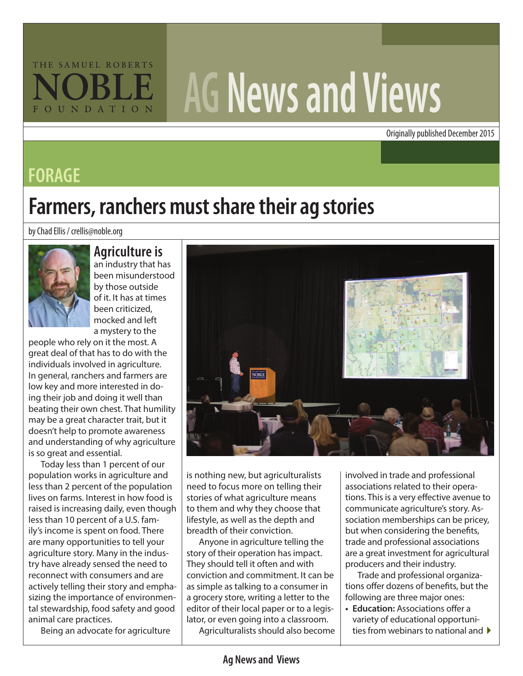# THE SAMUEL ROBERTS FOUNDATION

# **AG News and Views**

Originally published December 2015

#### **FORAGE**

## **Farmers, ranchers must share their ag stories**

by Chad Ellis / crellis@noble.org



#### **Agriculture is**

an industry that has been misunderstood by those outside of it. It has at times been criticized, mocked and left a mystery to the

people who rely on it the most. A great deal of that has to do with the individuals involved in agriculture. In general, ranchers and farmers are low key and more interested in doing their job and doing it well than beating their own chest. That humility may be a great character trait, but it doesn't help to promote awareness and understanding of why agriculture is so great and essential.

Today less than 1 percent of our population works in agriculture and less than 2 percent of the population lives on farms. Interest in how food is raised is increasing daily, even though less than 10 percent of a U.S. family's income is spent on food. There are many opportunities to tell your agriculture story. Many in the industry have already sensed the need to reconnect with consumers and are actively telling their story and emphasizing the importance of environmental stewardship, food safety and good animal care practices.

Being an advocate for agriculture



need to focus more on telling their stories of what agriculture means to them and why they choose that lifestyle, as well as the depth and breadth of their conviction.

is nothing new, but agriculturalists<br>
need to focus more on telling their<br>
to them and why they choose that<br>
lifestyle, as well as the depth and<br>
lifestyle, as well as the depth and<br>
breadth of their conviction.<br>
Anyone in Anyone in agriculture telling the story of their operation has impact. They should tell it often and with conviction and commitment. It can be as simple as talking to a consumer in a grocery store, writing a letter to the editor of their local paper or to a legislator, or even going into a classroom.

Agriculturalists should also become

involved in trade and professional associations related to their operations. This is a very effective avenue to communicate agriculture's story. Association memberships can be pricey, but when considering the benefits, trade and professional associations are a great investment for agricultural producers and their industry.

Trade and professional organizations offer dozens of benefits, but the following are three major ones:

ties from webinars to national and  $\blacktriangleright$ **• Education:** Associations offer a variety of educational opportuni-